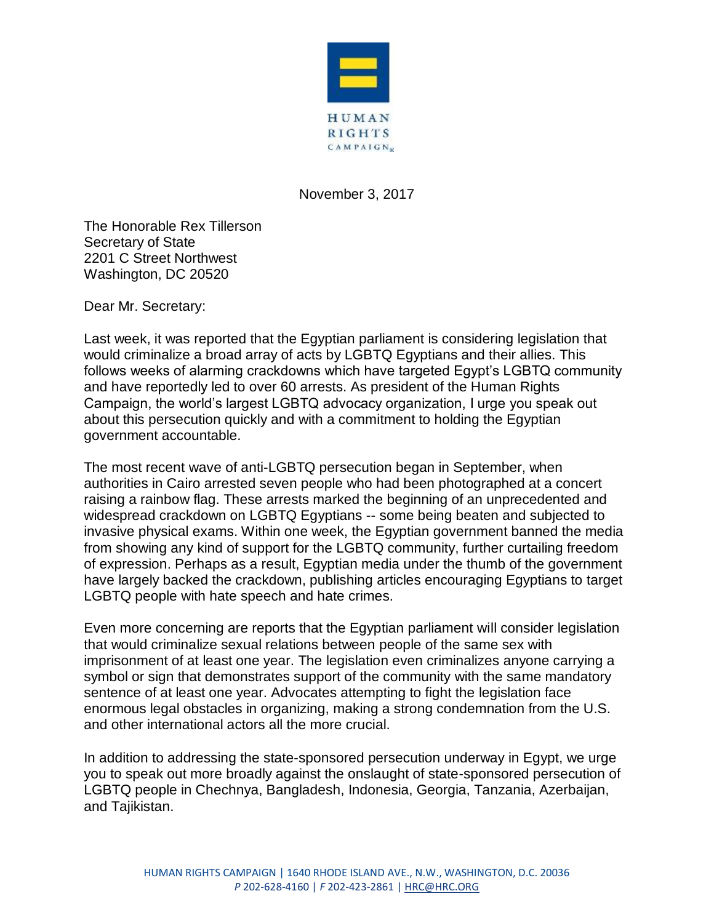

November 3, 2017

The Honorable Rex Tillerson Secretary of State 2201 C Street Northwest Washington, DC 20520

Dear Mr. Secretary:

Last week, it was reported that the Egyptian parliament is considering legislation that would criminalize a broad array of acts by LGBTQ Egyptians and their allies. This follows weeks of alarming crackdowns which have targeted Egypt's LGBTQ community and have reportedly led to over 60 arrests. As president of the Human Rights Campaign, the world's largest LGBTQ advocacy organization, I urge you speak out about this persecution quickly and with a commitment to holding the Egyptian government accountable.

The most recent wave of anti-LGBTQ persecution began in September, when authorities in Cairo arrested seven people who had been photographed at a concert raising a rainbow flag. These arrests marked the beginning of an unprecedented and widespread crackdown on LGBTQ Egyptians -- some being beaten and subjected to invasive physical exams. Within one week, the Egyptian government banned the media from showing any kind of support for the LGBTQ community, further curtailing freedom of expression. Perhaps as a result, Egyptian media under the thumb of the government have largely backed the crackdown, publishing articles encouraging Egyptians to target LGBTQ people with hate speech and hate crimes.

Even more concerning are reports that the Egyptian parliament will consider legislation that would criminalize sexual relations between people of the same sex with imprisonment of at least one year. The legislation even criminalizes anyone carrying a symbol or sign that demonstrates support of the community with the same mandatory sentence of at least one year. Advocates attempting to fight the legislation face enormous legal obstacles in organizing, making a strong condemnation from the U.S. and other international actors all the more crucial.

In addition to addressing the state-sponsored persecution underway in Egypt, we urge you to speak out more broadly against the onslaught of state-sponsored persecution of LGBTQ people in Chechnya, Bangladesh, Indonesia, Georgia, Tanzania, Azerbaijan, and Tajikistan.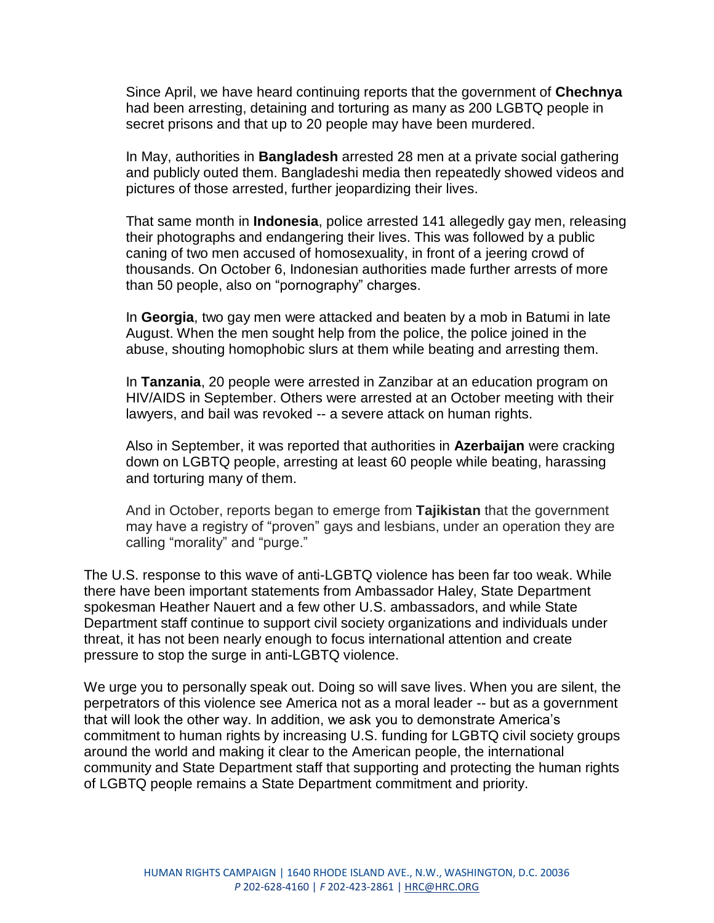Since April, we have heard continuing reports that the government of **Chechnya**  had been arresting, detaining and torturing as many as 200 LGBTQ people in secret prisons and that up to 20 people may have been murdered.

In May, authorities in **Bangladesh** arrested 28 men at a private social gathering and publicly outed them. Bangladeshi media then repeatedly showed videos and pictures of those arrested, further jeopardizing their lives.

That same month in **Indonesia**, police arrested 141 allegedly gay men, releasing their photographs and endangering their lives. This was followed by a public caning of two men accused of homosexuality, in front of a jeering crowd of thousands. On October 6, Indonesian authorities made further arrests of more than 50 people, also on "pornography" charges.

In **Georgia**, two gay men were attacked and beaten by a mob in Batumi in late August. When the men sought help from the police, the police joined in the abuse, shouting homophobic slurs at them while beating and arresting them.

In **Tanzania**, 20 people were arrested in Zanzibar at an education program on HIV/AIDS in September. Others were arrested at an October meeting with their lawyers, and bail was revoked -- a severe attack on human rights.

Also in September, it was reported that authorities in **Azerbaijan** were cracking down on LGBTQ people, arresting at least 60 people while beating, harassing and torturing many of them.

And in October, reports began to emerge from **Tajikistan** that the government may have a registry of "proven" gays and lesbians, under an operation they are calling "morality" and "purge."

The U.S. response to this wave of anti-LGBTQ violence has been far too weak. While there have been important statements from Ambassador Haley, State Department spokesman Heather Nauert and a few other U.S. ambassadors, and while State Department staff continue to support civil society organizations and individuals under threat, it has not been nearly enough to focus international attention and create pressure to stop the surge in anti-LGBTQ violence.

We urge you to personally speak out. Doing so will save lives. When you are silent, the perpetrators of this violence see America not as a moral leader -- but as a government that will look the other way. In addition, we ask you to demonstrate America's commitment to human rights by increasing U.S. funding for LGBTQ civil society groups around the world and making it clear to the American people, the international community and State Department staff that supporting and protecting the human rights of LGBTQ people remains a State Department commitment and priority.